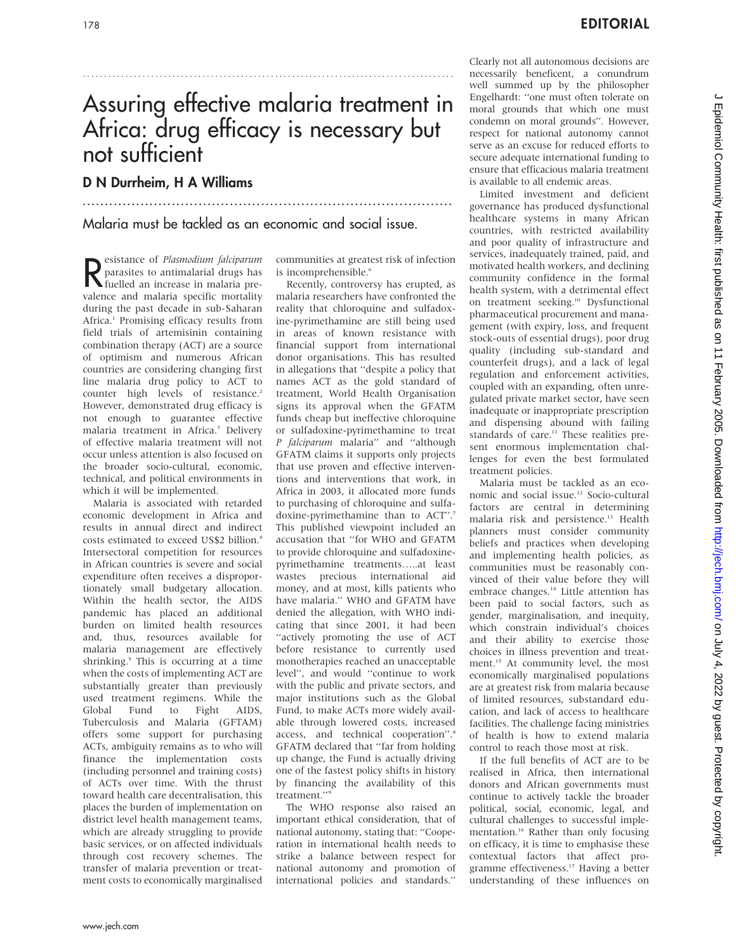# Assuring effective malaria treatment in Africa: drug efficacy is necessary but not sufficient

...................................................................................

.......................................................................................

### D N Durrheim, H A Williams

Malaria must be tackled as an economic and social issue.

Resistance of *Plasmodium falciparum*<br>
parasites to antimalarial drugs has<br>
fuelled an increase in malaria preparasites to antimalarial drugs has fuelled an increase in malaria prevalence and malaria specific mortality during the past decade in sub-Saharan Africa.<sup>1</sup> Promising efficacy results from field trials of artemisinin containing combination therapy (ACT) are a source of optimism and numerous African countries are considering changing first line malaria drug policy to ACT to counter high levels of resistance.<sup>2</sup> However, demonstrated drug efficacy is not enough to guarantee effective malaria treatment in Africa.<sup>3</sup> Delivery of effective malaria treatment will not occur unless attention is also focused on the broader socio-cultural, economic, technical, and political environments in which it will be implemented.

Malaria is associated with retarded economic development in Africa and results in annual direct and indirect costs estimated to exceed US\$2 billion.4 Intersectoral competition for resources in African countries is severe and social expenditure often receives a disproportionately small budgetary allocation. Within the health sector, the AIDS pandemic has placed an additional burden on limited health resources and, thus, resources available for malaria management are effectively shrinking.<sup>5</sup> This is occurring at a time when the costs of implementing ACT are substantially greater than previously used treatment regimens. While the Global Fund to Fight AIDS, Tuberculosis and Malaria (GFTAM) offers some support for purchasing ACTs, ambiguity remains as to who will finance the implementation costs (including personnel and training costs) of ACTs over time. With the thrust toward health care decentralisation, this places the burden of implementation on district level health management teams, which are already struggling to provide basic services, or on affected individuals through cost recovery schemes. The transfer of malaria prevention or treatment costs to economically marginalised communities at greatest risk of infection is incomprehensible.<sup>6</sup>

Recently, controversy has erupted, as malaria researchers have confronted the reality that chloroquine and sulfadoxine-pyrimethamine are still being used in areas of known resistance with financial support from international donor organisations. This has resulted in allegations that ''despite a policy that names ACT as the gold standard of treatment, World Health Organisation signs its approval when the GFATM funds cheap but ineffective chloroquine or sulfadoxine-pyrimethamine to treat P falciparum malaria'' and ''although GFATM claims it supports only projects that use proven and effective interventions and interventions that work, in Africa in 2003, it allocated more funds to purchasing of chloroquine and sulfadoxine-pyrimethamine than to ACT".7 This published viewpoint included an accusation that ''for WHO and GFATM to provide chloroquine and sulfadoxinepyrimethamine treatments…..at least wastes precious international aid money, and at most, kills patients who have malaria.'' WHO and GFATM have denied the allegation, with WHO indicating that since 2001, it had been ''actively promoting the use of ACT before resistance to currently used monotherapies reached an unacceptable level'', and would ''continue to work with the public and private sectors, and major institutions such as the Global Fund, to make ACTs more widely available through lowered costs, increased access, and technical cooperation''.8 GFATM declared that ''far from holding up change, the Fund is actually driving one of the fastest policy shifts in history by financing the availability of this treatment.''9

The WHO response also raised an important ethical consideration, that of national autonomy, stating that: ''Cooperation in international health needs to strike a balance between respect for national autonomy and promotion of international policies and standards.''

Clearly not all autonomous decisions are necessarily beneficent, a conundrum well summed up by the philosopher Engelhardt: ''one must often tolerate on moral grounds that which one must condemn on moral grounds''. However, respect for national autonomy cannot serve as an excuse for reduced efforts to secure adequate international funding to ensure that efficacious malaria treatment is available to all endemic areas.

Limited investment and deficient governance has produced dysfunctional healthcare systems in many African countries, with restricted availability and poor quality of infrastructure and services, inadequately trained, paid, and motivated health workers, and declining community confidence in the formal health system, with a detrimental effect on treatment seeking.<sup>10</sup> Dysfunctional pharmaceutical procurement and management (with expiry, loss, and frequent stock-outs of essential drugs), poor drug quality (including sub-standard and counterfeit drugs), and a lack of legal regulation and enforcement activities, coupled with an expanding, often unregulated private market sector, have seen inadequate or inappropriate prescription and dispensing abound with failing standards of care.<sup>11</sup> These realities present enormous implementation challenges for even the best formulated treatment policies.

Malaria must be tackled as an economic and social issue.12 Socio-cultural factors are central in determining malaria risk and persistence.<sup>13</sup> Health planners must consider community beliefs and practices when developing and implementing health policies, as communities must be reasonably convinced of their value before they will embrace changes.14 Little attention has been paid to social factors, such as gender, marginalisation, and inequity, which constrain individual's choices and their ability to exercise those choices in illness prevention and treatment.<sup>15</sup> At community level, the most economically marginalised populations are at greatest risk from malaria because of limited resources, substandard education, and lack of access to healthcare facilities. The challenge facing ministries of health is how to extend malaria control to reach those most at risk.

If the full benefits of ACT are to be realised in Africa, then international donors and African governments must continue to actively tackle the broader political, social, economic, legal, and cultural challenges to successful implementation.<sup>16</sup> Rather than only focusing on efficacy, it is time to emphasise these contextual factors that affect programme effectiveness.17 Having a better understanding of these influences on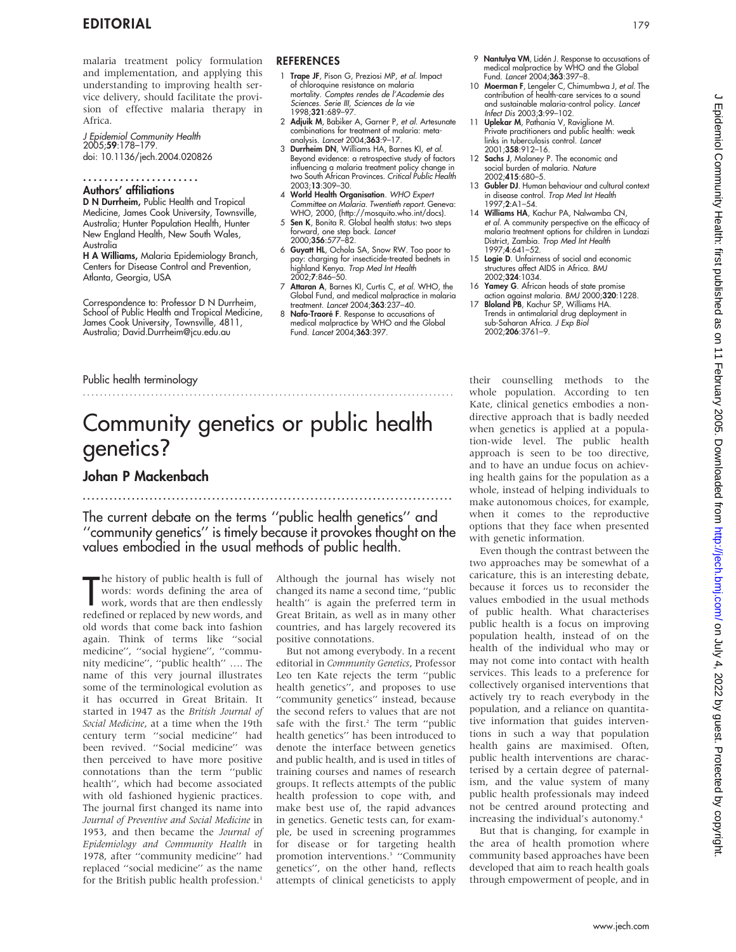malaria treatment policy formulation and implementation, and applying this understanding to improving health service delivery, should facilitate the provision of effective malaria therapy in Africa.

J Epidemiol Community Health 2005;59:178–179. doi: 10.1136/jech.2004.020826

#### Authors' affiliations ......................

D N Durrheim, Public Health and Tropical Medicine, James Cook University, Townsville, Australia; Hunter Population Health, Hunter New England Health, New South Wales, Australia

H A Williams, Malaria Epidemiology Branch, Centers for Disease Control and Prevention, Atlanta, Georgia, USA

Correspondence to: Professor D N Durrheim, School of Public Health and Tropical Medicine, James Cook University, Townsville, 4811, Australia; David.Durrheim@jcu.edu.au

### **REFERENCES**

- 1 Trape JF, Pison G, Preziosi MP, et al. Impact of chloroquine resistance on malaria mortality. Comptes rendes de l'Academie des Sciences. Serie III, Sciences de la vie 1998;321:689–97.
- 2 Adjuik M, Babiker A, Garner P, et al. Artesunate combinations for treatment of malaria: metaanalysis. Lancet 2004;363:9–17.
- 3 Durrheim DN, Williams HA, Barnes KI, et al. Beyond evidence: a retrospective study of factors influencing a malaria treatment policy change in two South African Provinces. Critical Public Health 2003;13:309–30.
- 4 World Health Organisation. WHO Expert Committee on Malaria. Twentieth report. Geneva: WHO, 2000, (http://mosquito.who.int/docs).
- Sen K, Bonita R. Global health status: two steps forward, one step back. Lancet 2000;356:577–82.
- 6 Guyatt HL, Ochola SA, Snow RW. Too poor to pay: charging for insecticide-treated bednets in highland Kenya. Trop Med Int Health 2002;7:846–50.
- 7 Attaran A, Barnes KI, Curtis C, et al. WHO, the Global Fund, and medical malpractice in malaria treatment. Lancet 2004;363:237–40.
- 8 Nafo-Traoré F. Response to accusations of medical malpractice by WHO and the Global Fund. Lancet 2004;363:397.
- 9 **Nantulya VM**, Lidén J. Response to accusations of medical malpractice by WHO and the Global Fund. Lancet 2004;363:397–8.
- 10 Moerman F, Lengeler C, Chimumbwa J, et al. The contribution of health-care services to a sound and sustainable malaria-control policy. Lancet Infect Dis 2003;3:99–102.
- 11 Uplekar M, Pathania V, Raviglione M. Private practitioners and public health: weak links in tuberculosis control. Lancet 2001;358:912–16.
- 12 Sachs J, Malaney P. The economic and<br>social burden of malaria. Nature 2002;415:680–5.
- 13 Gubler DJ. Human behaviour and cultural context in disease control. Trop Med Int Health 1997;2:A1–54.
- 14 Williams HA, Kachur PA, Nalwamba CN, et al. A community perspective on the efficacy of malaria treatment options for children in Lundazi District, Zambia. Trop Med Int Health 1997;4:641–52.
- 15 Logie D. Unfairness of social and economic structures affect AIDS in Africa. BMJ 2002;324:1034.
- 16 Yamey G. African heads of state promise action against malaria. BMJ 2000;320:1228.
- 17 Bloland PB, Kachur SP, Williams HA. Trends in antimalarial drug deployment in sub-Saharan Africa. J Exp Biol 2002;206:3761–9.

### Public health terminology

### .......................................................................................

# Community genetics or public health genetics?

...................................................................................

## Johan P Mackenbach

The current debate on the terms ''public health genetics'' and ''community genetics'' is timely because it provokes thought on the values embodied in the usual methods of public health.

The history of public health is full of<br>words: words defining the area of<br>work, words that are then endlessly<br>redefined or replaced by new words, and he history of public health is full of words: words defining the area of work, words that are then endlessly old words that come back into fashion again. Think of terms like ''social medicine'', ''social hygiene'', ''community medicine'', ''public health'' …. The name of this very journal illustrates some of the terminological evolution as it has occurred in Great Britain. It started in 1947 as the British Journal of Social Medicine, at a time when the 19th century term ''social medicine'' had been revived. ''Social medicine'' was then perceived to have more positive connotations than the term ''public health'', which had become associated with old fashioned hygienic practices. The journal first changed its name into Journal of Preventive and Social Medicine in 1953, and then became the Journal of Epidemiology and Community Health in 1978, after ''community medicine'' had replaced ''social medicine'' as the name for the British public health profession.<sup>1</sup>

Although the journal has wisely not changed its name a second time, ''public health'' is again the preferred term in Great Britain, as well as in many other countries, and has largely recovered its positive connotations.

But not among everybody. In a recent editorial in Community Genetics, Professor Leo ten Kate rejects the term ''public health genetics'', and proposes to use ''community genetics'' instead, because the second refers to values that are not safe with the first.<sup>2</sup> The term "public health genetics'' has been introduced to denote the interface between genetics and public health, and is used in titles of training courses and names of research groups. It reflects attempts of the public health profession to cope with, and make best use of, the rapid advances in genetics. Genetic tests can, for example, be used in screening programmes for disease or for targeting health promotion interventions.3 ''Community genetics'', on the other hand, reflects attempts of clinical geneticists to apply

their counselling methods to the whole population. According to ten Kate, clinical genetics embodies a nondirective approach that is badly needed when genetics is applied at a population-wide level. The public health approach is seen to be too directive, and to have an undue focus on achieving health gains for the population as a whole, instead of helping individuals to make autonomous choices, for example, when it comes to the reproductive options that they face when presented with genetic information.

Even though the contrast between the two approaches may be somewhat of a caricature, this is an interesting debate, because it forces us to reconsider the values embodied in the usual methods of public health. What characterises public health is a focus on improving population health, instead of on the health of the individual who may or may not come into contact with health services. This leads to a preference for collectively organised interventions that actively try to reach everybody in the population, and a reliance on quantitative information that guides interventions in such a way that population health gains are maximised. Often, public health interventions are characterised by a certain degree of paternalism, and the value system of many public health professionals may indeed not be centred around protecting and increasing the individual's autonomy.4

But that is changing, for example in the area of health promotion where community based approaches have been developed that aim to reach health goals through empowerment of people, and in